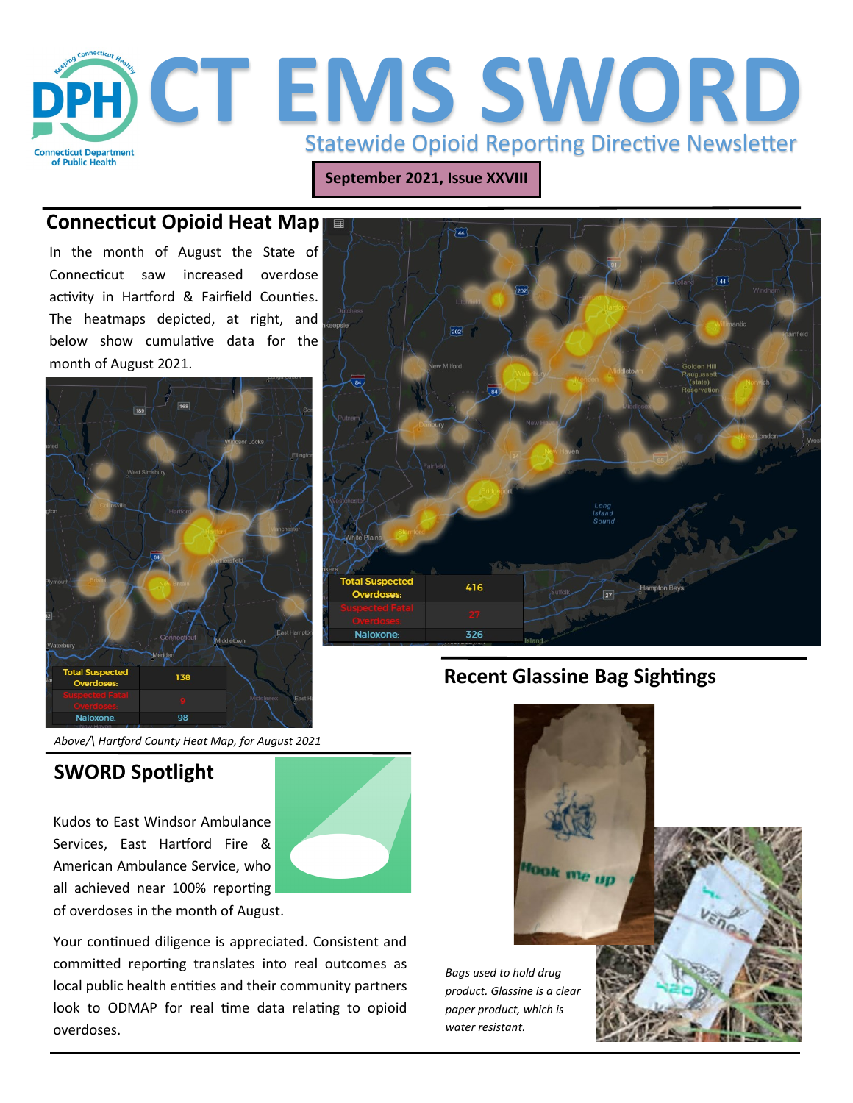

**September 2021, Issue XXVIII**

#### **Connecticut Opioid Heat Map** 围

In the month of August the State of Connecticut saw increased overdose activity in Hartford & Fairfield Counties. The heatmaps depicted, at right, and below show cumulative data for the month of August 2021.





## **SWORD Spotlight**

Kudos to East Windsor Ambulance Services, East Hartford Fire & American Ambulance Service, who all achieved near 100% reporting of overdoses in the month of August.



Your continued diligence is appreciated. Consistent and committed reporting translates into real outcomes as local public health entities and their community partners look to ODMAP for real time data relating to opioid overdoses.



## **Recent Glassine Bag Sightings**

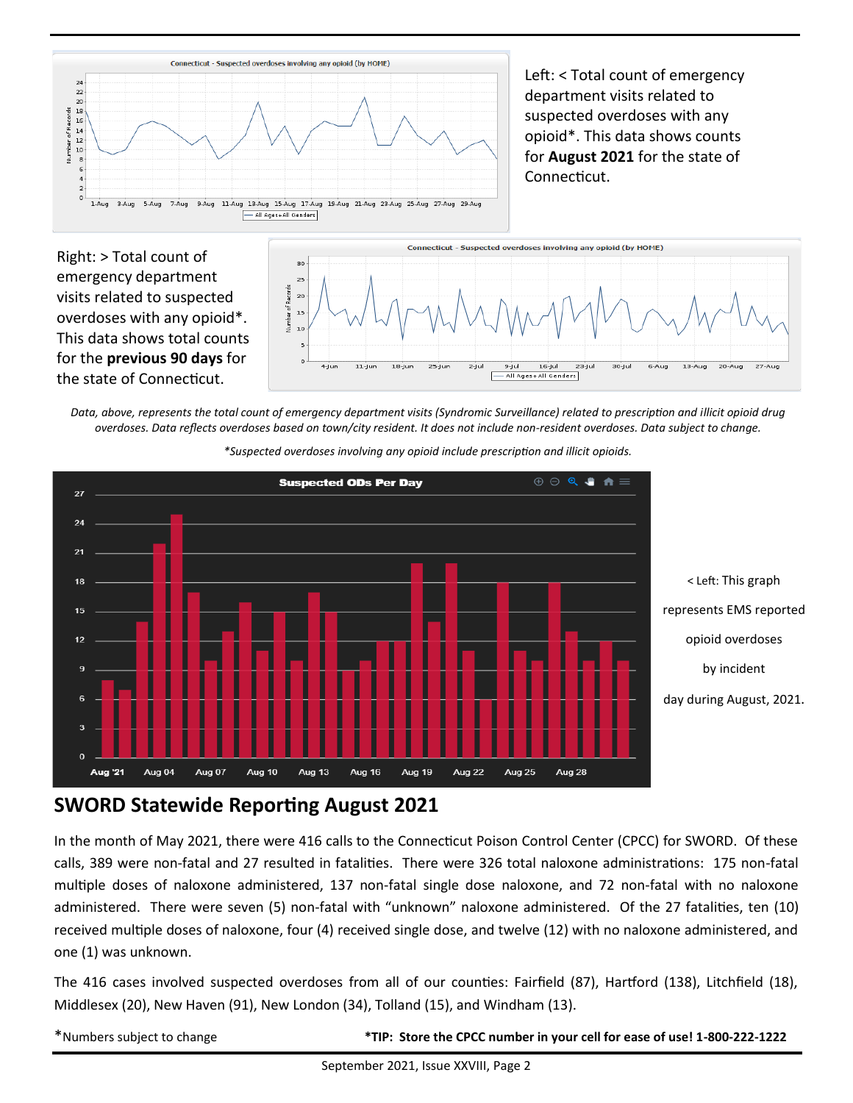

Left: < Total count of emergency department visits related to suspected overdoses with any opioid\*. This data shows counts for **August 2021** for the state of Connecticut.

Right: > Total count of emergency department visits related to suspected overdoses with any opioid\*. This data shows total counts for the **previous 90 days** for the state of Connecticut.



*Data, above, represents the total count of emergency department visits (Syndromic Surveillance) related to prescription and illicit opioid drug overdoses. Data reflects overdoses based on town/city resident. It does not include non-resident overdoses. Data subject to change.*



*\*Suspected overdoses involving any opioid include prescription and illicit opioids.*

## **SWORD Statewide Reporting August 2021**

In the month of May 2021, there were 416 calls to the Connecticut Poison Control Center (CPCC) for SWORD. Of these calls, 389 were non-fatal and 27 resulted in fatalities. There were 326 total naloxone administrations: 175 non-fatal multiple doses of naloxone administered, 137 non-fatal single dose naloxone, and 72 non-fatal with no naloxone administered. There were seven (5) non-fatal with "unknown" naloxone administered. Of the 27 fatalities, ten (10) received multiple doses of naloxone, four (4) received single dose, and twelve (12) with no naloxone administered, and one (1) was unknown.

The 416 cases involved suspected overdoses from all of our counties: Fairfield (87), Hartford (138), Litchfield (18), Middlesex (20), New Haven (91), New London (34), Tolland (15), and Windham (13).

\*Numbers subject to change **\*TIP: Store the CPCC number in your cell for ease of use! 1-800-222-1222**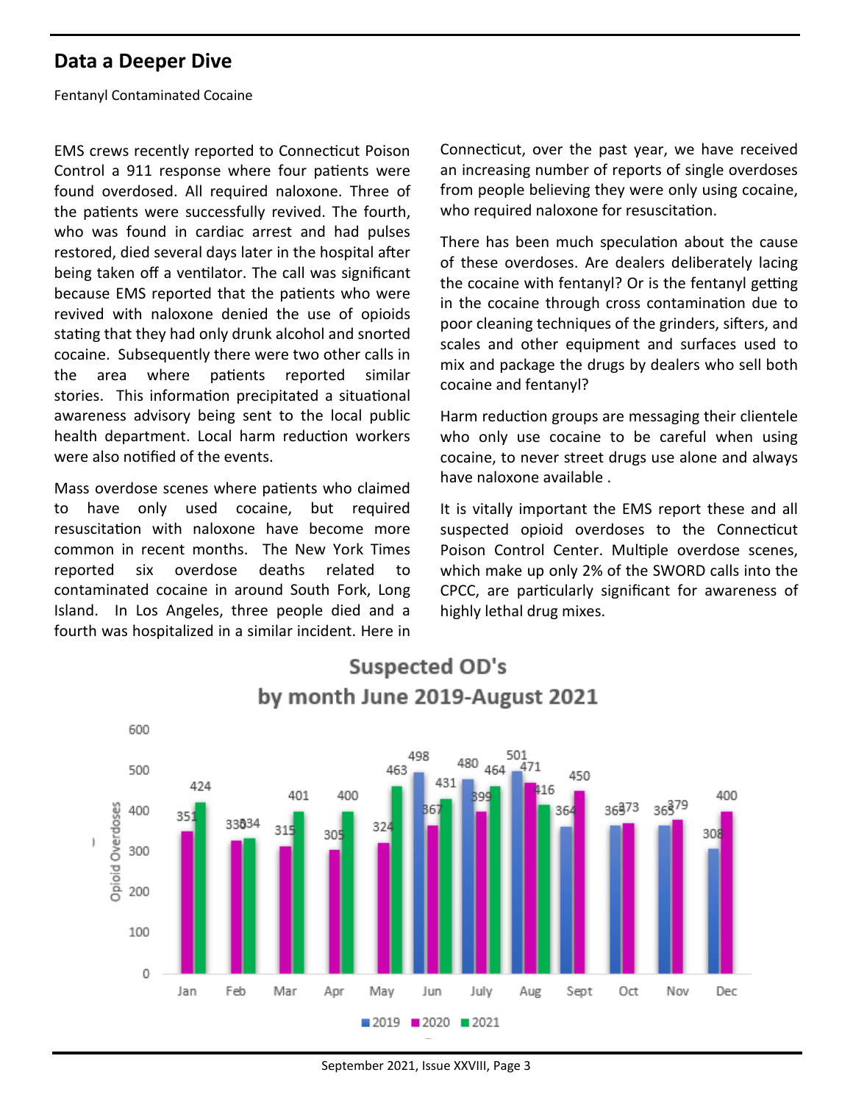### **Data a Deeper Dive**

Fentanyl Contaminated Cocaine

EMS crews recently reported to Connecticut Poison Control a 911 response where four patients were found overdosed. All required naloxone. Three of the patients were successfully revived. The fourth, who was found in cardiac arrest and had pulses restored, died several days later in the hospital after being taken off a ventilator. The call was significant because EMS reported that the patients who were revived with naloxone denied the use of opioids stating that they had only drunk alcohol and snorted cocaine. Subsequently there were two other calls in the area where patients reported similar stories. This information precipitated a situational awareness advisory being sent to the local public health department. Local harm reduction workers were also notified of the events.

Mass overdose scenes where patients who claimed to have only used cocaine, but required resuscitation with naloxone have become more common in recent months. The New York Times reported six overdose deaths related to contaminated cocaine in around South Fork, Long Island. In Los Angeles, three people died and a fourth was hospitalized in a similar incident. Here in

Connecticut, over the past year, we have received an increasing number of reports of single overdoses from people believing they were only using cocaine, who required naloxone for resuscitation.

There has been much speculation about the cause of these overdoses. Are dealers deliberately lacing the cocaine with fentanyl? Or is the fentanyl getting in the cocaine through cross contamination due to poor cleaning techniques of the grinders, sifters, and scales and other equipment and surfaces used to mix and package the drugs by dealers who sell both cocaine and fentanyl?

Harm reduction groups are messaging their clientele who only use cocaine to be careful when using cocaine, to never street drugs use alone and always have naloxone available .

It is vitally important the EMS report these and all suspected opioid overdoses to the Connecticut Poison Control Center. Multiple overdose scenes, which make up only 2% of the SWORD calls into the CPCC, are particularly significant for awareness of highly lethal drug mixes.



# **Suspected OD's** by month June 2019-August 2021

September 2021, Issue XXVIII, Page 3